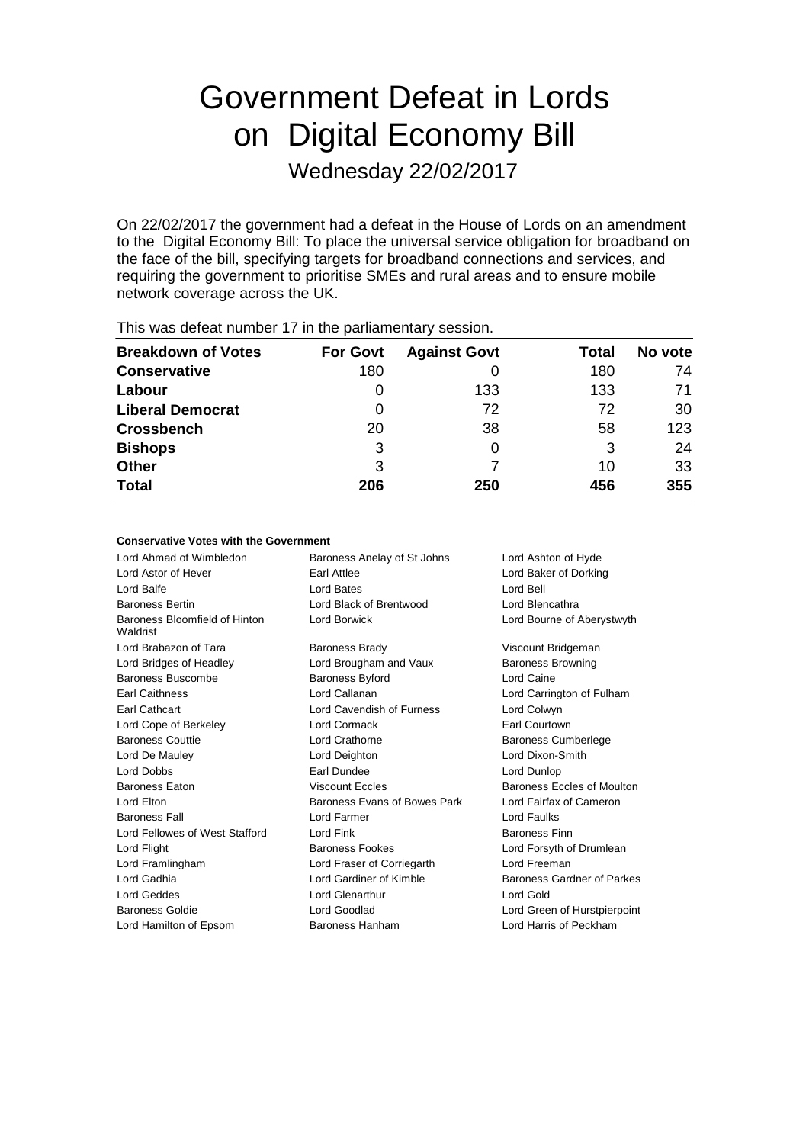# Government Defeat in Lords on Digital Economy Bill

Wednesday 22/02/2017

On 22/02/2017 the government had a defeat in the House of Lords on an amendment to the Digital Economy Bill: To place the universal service obligation for broadband on the face of the bill, specifying targets for broadband connections and services, and requiring the government to prioritise SMEs and rural areas and to ensure mobile network coverage across the UK.

| This was abloat harmoof if in the parliamentary occolor. |                 |                     |       |         |  |
|----------------------------------------------------------|-----------------|---------------------|-------|---------|--|
| <b>Breakdown of Votes</b>                                | <b>For Govt</b> | <b>Against Govt</b> | Total | No vote |  |
| <b>Conservative</b>                                      | 180             |                     | 180   | 74      |  |
| Labour                                                   | O               | 133                 | 133   | 71      |  |
| <b>Liberal Democrat</b>                                  | 0               | 72                  | 72    | 30      |  |
| <b>Crossbench</b>                                        | 20              | 38                  | 58    | 123     |  |
| <b>Bishops</b>                                           | 3               | 0                   | 3     | 24      |  |
| <b>Other</b>                                             | 3               |                     | 10    | 33      |  |
| <b>Total</b>                                             | 206             | 250                 | 456   | 355     |  |
|                                                          |                 |                     |       |         |  |

This was defeat number 17 in the parliamentary session.

| Conservative Votes with the Government    |                                                    |                                   |  |
|-------------------------------------------|----------------------------------------------------|-----------------------------------|--|
| Lord Ahmad of Wimbledon                   | Baroness Anelay of St Johns<br>Lord Ashton of Hyde |                                   |  |
| Lord Astor of Hever                       | Earl Attlee<br>Lord Baker of Dorking               |                                   |  |
| Lord Balfe                                | <b>Lord Bates</b>                                  | Lord Bell                         |  |
| <b>Baroness Bertin</b>                    | Lord Black of Brentwood                            | Lord Blencathra                   |  |
| Baroness Bloomfield of Hinton<br>Waldrist | Lord Borwick                                       | Lord Bourne of Aberystwyth        |  |
| Lord Brabazon of Tara                     | Viscount Bridgeman<br><b>Baroness Brady</b>        |                                   |  |
| Lord Bridges of Headley                   | Lord Brougham and Vaux                             | <b>Baroness Browning</b>          |  |
| Baroness Buscombe                         | Lord Caine<br><b>Baroness Byford</b>               |                                   |  |
| <b>Earl Caithness</b>                     | Lord Callanan<br>Lord Carrington of Fulham         |                                   |  |
| Earl Cathcart                             | Lord Cavendish of Furness                          | Lord Colwyn                       |  |
| Lord Cope of Berkeley                     | Lord Cormack                                       | Earl Courtown                     |  |
| <b>Baroness Couttie</b>                   | Lord Crathorne                                     | <b>Baroness Cumberlege</b>        |  |
| Lord De Mauley                            | Lord Deighton                                      | Lord Dixon-Smith                  |  |
| Lord Dobbs                                | Earl Dundee                                        | Lord Dunlop                       |  |
| <b>Baroness Eaton</b>                     | <b>Viscount Eccles</b>                             | Baroness Eccles of Moulton        |  |
| Lord Elton                                | Baroness Evans of Bowes Park                       | Lord Fairfax of Cameron           |  |
| <b>Baroness Fall</b>                      | Lord Farmer                                        | Lord Faulks                       |  |
| Lord Fellowes of West Stafford            | Lord Fink                                          | <b>Baroness Finn</b>              |  |
| Lord Flight                               | <b>Baroness Fookes</b>                             | Lord Forsyth of Drumlean          |  |
| Lord Framlingham                          | Lord Fraser of Corriegarth                         | Lord Freeman                      |  |
| Lord Gadhia                               | Lord Gardiner of Kimble                            | <b>Baroness Gardner of Parkes</b> |  |
| Lord Geddes                               | Lord Glenarthur                                    | Lord Gold                         |  |
| <b>Baroness Goldie</b>                    | Lord Goodlad                                       | Lord Green of Hurstpierpoint      |  |
| Lord Hamilton of Epsom                    | <b>Baroness Hanham</b>                             | Lord Harris of Peckham            |  |
|                                           |                                                    |                                   |  |
|                                           |                                                    |                                   |  |
|                                           |                                                    |                                   |  |
|                                           |                                                    |                                   |  |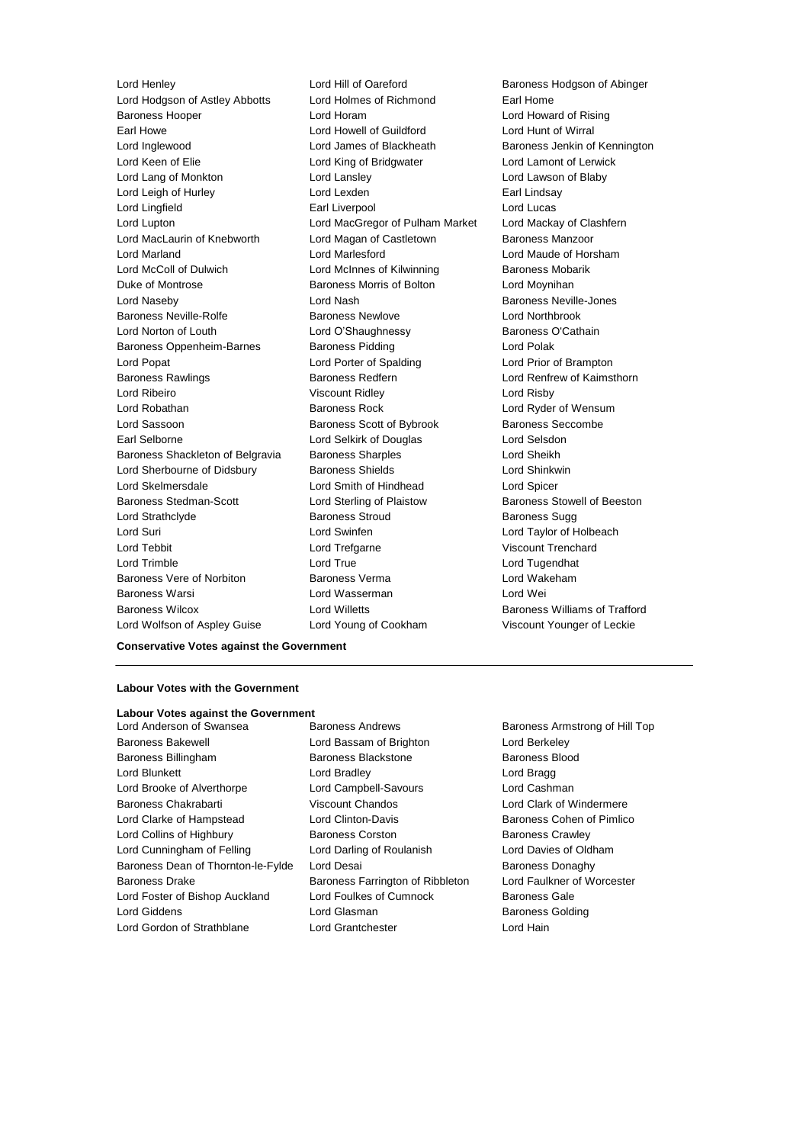Lord Hodgson of Astley Abbotts Lord Holmes of Richmond Earl Home Baroness Hooper Lord Horam Lord Howard of Rising Earl Howe Lord Howell of Guildford Lord Hunt of Wirral Lord Inglewood Lord James of Blackheath Baroness Jenkin of Kennington Lord Keen of Elie Lord King of Bridgwater Lord Lamont of Lerwick Lord Lang of Monkton Lord Lansley Lord Lawson of Blaby Lord Leigh of Hurley **Lord Lexden** Lord Lexden **Earl Lindsay** Lord Lingfield **Earl Liverpool** Earl Liverpool **Lord Lucas** Lord Lupton Lord MacGregor of Pulham Market Lord Mackay of Clashfern Lord MacLaurin of Knebworth Lord Magan of Castletown Baroness Manzoor Lord Marland Lord Marlesford Lord Maude of Horsham Lord McColl of Dulwich **Lord McInnes of Kilwinning Baroness Mobarik** Duke of Montrose **Baroness Morris of Bolton** Lord Moynihan Lord Naseby Lord Nash Baroness Neville-Jones Baroness Neville-Rolfe Baroness Newlove Lord Northbrook Lord Norton of Louth **Lord O'Shaughnessy** Baroness O'Cathain Baroness Oppenheim-Barnes Baroness Pidding Lord Polak Lord Popat Lord Porter of Spalding Lord Prior of Brampton Baroness Rawlings **Baroness Redfern Baroness Redfern Lord Renfrew of Kaimsthorn** Lord Ribeiro Viscount Ridley Lord Risby Lord Robathan Baroness Rock Lord Ryder of Wensum Lord Sassoon **Baroness Scott of Bybrook** Baroness Seccombe Earl Selborne Lord Selkirk of Douglas Lord Selsdon Baroness Shackleton of Belgravia Baroness Sharples Controller Sheikh Lord Sherbourne of Didsbury **Baroness Shields** Lord Shinkwin Lord Skelmersdale Lord Smith of Hindhead Lord Spicer Baroness Stedman-Scott Lord Sterling of Plaistow Baroness Stowell of Beeston Lord Strathclyde **Baroness Stroud** Baroness Stroud Baroness Sugg Lord Suri Lord Swinfen Lord Taylor of Holbeach Lord Tebbit Lord Trefgarne Viscount Trenchard Lord Trimble Lord True Lord Tugendhat Baroness Vere of Norbiton Baroness Verma Lord Wakeham Baroness Warsi Lord Wasserman Lord Wei Baroness Wilcox Lord Willetts Baroness Williams of Trafford

Lord Henley **Lord Hill of Oareford** Baroness Hodgson of Abinger Lord Wolfson of Aspley Guise Lord Young of Cookham Viscount Younger of Leckie

## **Conservative Votes against the Government**

#### **Labour Votes with the Government**

#### **Labour Votes against the Government**

Baroness Bakewell Lord Bassam of Brighton Lord Berkeley Baroness Billingham Baroness Blackstone Baroness Blood Lord Blunkett Lord Bradley Lord Bragg Lord Brooke of Alverthorpe Lord Campbell-Savours Lord Cashman Baroness Chakrabarti **Viscount Chandos** Lord Clark of Windermere Lord Clarke of Hampstead Lord Clinton-Davis Baroness Cohen of Pimlico Lord Collins of Highbury **Baroness Corston** Baroness Corston Baroness Crawley Lord Cunningham of Felling Lord Darling of Roulanish Lord Davies of Oldham Baroness Dean of Thornton-le-Fylde Lord Desai **Baroness Donaghy** Baroness Donaghy Baroness Drake Baroness Farrington of Ribbleton Lord Faulkner of Worcester Lord Foster of Bishop Auckland Lord Foulkes of Cumnock Baroness Gale Lord Giddens **Lord Glasman** Baroness Golding

Lord Anderson of Swansea Baroness Andrews Baroness Armstrong of Hill Top Lord Gordon of Strathblane Lord Grantchester Lord Hain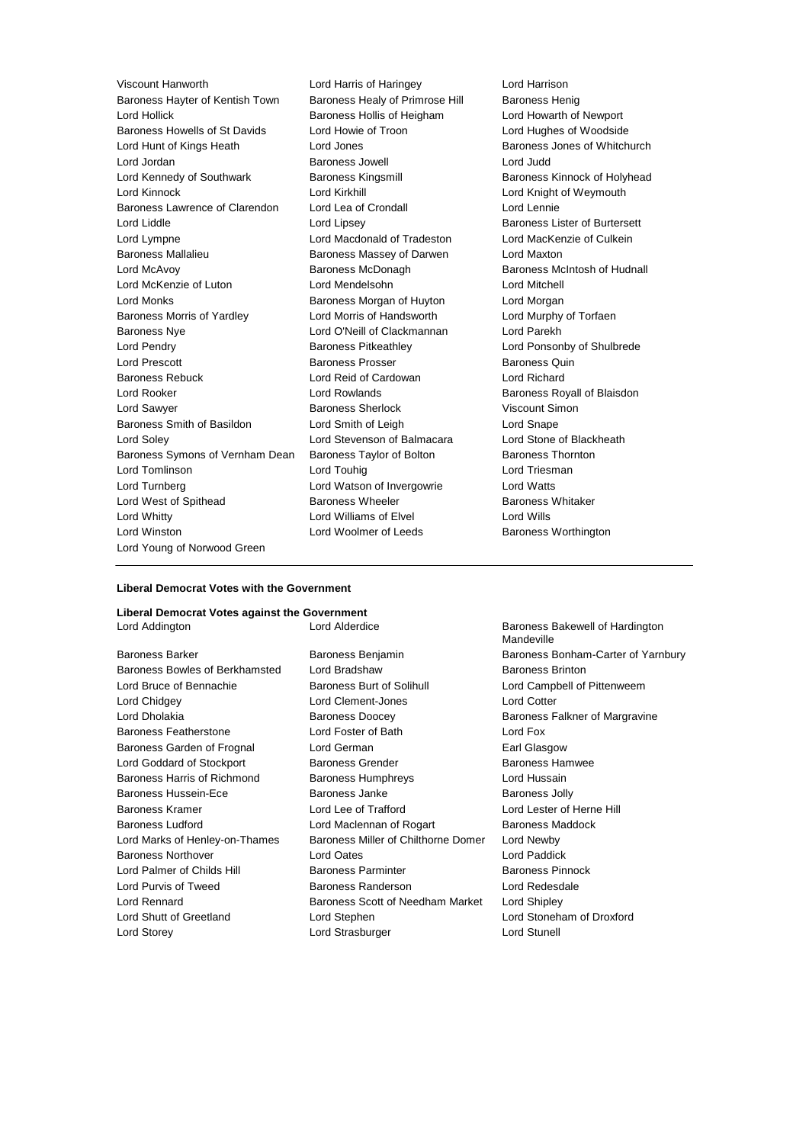Viscount Hanworth Lord Harris of Haringey Lord Harrison Baroness Hayter of Kentish Town Baroness Healy of Primrose Hill Baroness Henig Lord Hollick Baroness Hollis of Heigham Lord Howarth of Newport Baroness Howells of St Davids Lord Howie of Troon Lord Hughes of Woodside Lord Hunt of Kings Heath Lord Jones Baroness Jones of Whitchurch Lord Jordan **Baroness Jowell**<br>
Lord Kennedy of Southwark **Baroness Kingsmill** Baroness<br>
Baroness Lord Kennedy of Southwark **Baroness Kingsmill** Baroness Kinnock of Holyhead Lord Kinnock **Lord Kirkhill** Lord Kirkhill **Lord Knight of Weymouth** Baroness Lawrence of Clarendon Lord Lea of Crondall Lord Lennie Lord Liddle Liddle Lord Lipsey Lord Lipsey Cord Baroness Lister of Burtersett<br>Lord Lympne Lord Macdonald of Tradeston Lord MacKenzie of Culkein Lord Lympne Lord Macdonald of Tradeston Baroness Mallalieu Baroness Massey of Darwen Lord Maxton Lord McAvoy Baroness McDonagh Baroness McIntosh of Hudnall Lord McKenzie of Luton Lord Mendelsohn Lord Mitchell Lord Monks Baroness Morgan of Huyton Lord Morgan Baroness Morris of Yardley Lord Morris of Handsworth Lord Murphy of Torfaen Baroness Nye Lord O'Neill of Clackmannan Lord Parekh Lord Pendry **Baroness Pitkeathley Lord Ponsonby of Shulbrede** Lord Ponsonby of Shulbrede Lord Prescott **Baroness Prosser Baroness Quin** Baroness Quin Baroness Rebuck Lord Reid of Cardowan Lord Richard Lord Rooker **Lord Rowlands Lord Rowlands** Baroness Royall of Blaisdon Lord Sawyer **Baroness Sherlock Conservers** Viscount Simon Baroness Smith of Basildon Lord Smith of Leigh Lord Snape Lord Soley Lord Stevenson of Balmacara Lord Stone of Blackheath Baroness Symons of Vernham Dean Baroness Taylor of Bolton Baroness Thornton Lord Tomlinson **Lord Touhig Lord Touhig Lord Triesman** Lord Turnberg Lord Watson of Invergowrie Lord Watts Lord West of Spithead **Baroness Wheeler** Baroness Whitaker Lord Whitty Lord Williams of Elvel Lord Wills Lord Winston **Lord Woolmer of Leeds** Baroness Worthington Lord Young of Norwood Green

## **Liberal Democrat Votes with the Government**

#### **Liberal Democrat Votes against the Government**

Baroness Bowles of Berkhamsted Lord Bradshaw Baroness Brinton Lord Bruce of Bennachie Baroness Burt of Solihull Lord Campbell of Pittenweem Lord Chidgey Lord Clement-Jones Lord Cotter Lord Dholakia **Baroness Doocey** Baroness Falkner of Margravine Baroness Featherstone Lord Foster of Bath Lord Fox Baroness Garden of Frognal Lord German **Earl Glasgow** Lord Goddard of Stockport **Baroness Grender** Baroness Hamwee Baroness Harris of Richmond Baroness Humphreys Lord Hussain Baroness Hussein-Ece **Baroness Janke** Baroness Jolly Baroness Kramer Lord Lee of Trafford Lord Lester of Herne Hill Baroness Ludford Lord Maclennan of Rogart Baroness Maddock Lord Marks of Henley-on-Thames Baroness Miller of Chilthorne Domer Lord Newby Baroness Northover Lord Oates Lord Paddick Lord Palmer of Childs Hill Baroness Parminter Baroness Parminter Baroness Pinnock Lord Purvis of Tweed Baroness Randerson Lord Redesdale Lord Rennard Baroness Scott of Needham Market Lord Shipley Lord Shutt of Greetland Lord Stephen Lord Stoneham of Droxford Lord Storey Lord Strasburger Lord Stunell

Lord Addington Lord Alderdice Baroness Bakewell of Hardington Mandeville Baroness Barker **Baroness Benjamin** Baroness Benjamin Baroness Bonham-Carter of Yarnbury